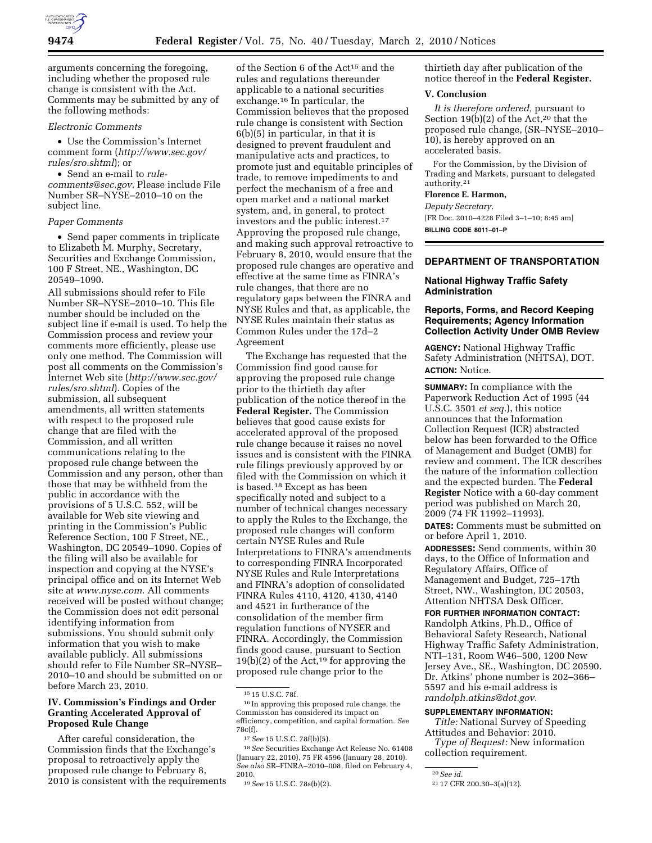

arguments concerning the foregoing, including whether the proposed rule change is consistent with the Act. Comments may be submitted by any of the following methods:

#### *Electronic Comments*

• Use the Commission's Internet comment form (*http://www.sec.gov/ rules/sro.shtml*); or

• Send an e-mail to *rulecomments@sec.gov.* Please include File Number SR–NYSE–2010–10 on the subject line.

#### *Paper Comments*

• Send paper comments in triplicate to Elizabeth M. Murphy, Secretary, Securities and Exchange Commission, 100 F Street, NE., Washington, DC 20549–1090.

All submissions should refer to File Number SR–NYSE–2010–10. This file number should be included on the subject line if e-mail is used. To help the Commission process and review your comments more efficiently, please use only one method. The Commission will post all comments on the Commission's Internet Web site (*http://www.sec.gov/ rules/sro.shtml*). Copies of the submission, all subsequent amendments, all written statements with respect to the proposed rule change that are filed with the Commission, and all written communications relating to the proposed rule change between the Commission and any person, other than those that may be withheld from the public in accordance with the provisions of 5 U.S.C. 552, will be available for Web site viewing and printing in the Commission's Public Reference Section, 100 F Street, NE., Washington, DC 20549–1090. Copies of the filing will also be available for inspection and copying at the NYSE's principal office and on its Internet Web site at *www.nyse.com*. All comments received will be posted without change; the Commission does not edit personal identifying information from submissions. You should submit only information that you wish to make available publicly. All submissions should refer to File Number SR–NYSE– 2010–10 and should be submitted on or before March 23, 2010.

# **IV. Commission's Findings and Order Granting Accelerated Approval of Proposed Rule Change**

After careful consideration, the Commission finds that the Exchange's proposal to retroactively apply the proposed rule change to February 8, 2010 is consistent with the requirements

of the Section 6 of the Act15 and the rules and regulations thereunder applicable to a national securities exchange.16 In particular, the Commission believes that the proposed rule change is consistent with Section 6(b)(5) in particular, in that it is designed to prevent fraudulent and manipulative acts and practices, to promote just and equitable principles of trade, to remove impediments to and perfect the mechanism of a free and open market and a national market system, and, in general, to protect investors and the public interest.17 Approving the proposed rule change, and making such approval retroactive to February 8, 2010, would ensure that the proposed rule changes are operative and effective at the same time as FINRA's rule changes, that there are no regulatory gaps between the FINRA and NYSE Rules and that, as applicable, the NYSE Rules maintain their status as Common Rules under the 17d–2 Agreement

The Exchange has requested that the Commission find good cause for approving the proposed rule change prior to the thirtieth day after publication of the notice thereof in the **Federal Register.** The Commission believes that good cause exists for accelerated approval of the proposed rule change because it raises no novel issues and is consistent with the FINRA rule filings previously approved by or filed with the Commission on which it is based.18 Except as has been specifically noted and subject to a number of technical changes necessary to apply the Rules to the Exchange, the proposed rule changes will conform certain NYSE Rules and Rule Interpretations to FINRA's amendments to corresponding FINRA Incorporated NYSE Rules and Rule Interpretations and FINRA's adoption of consolidated FINRA Rules 4110, 4120, 4130, 4140 and 4521 in furtherance of the consolidation of the member firm regulation functions of NYSER and FINRA. Accordingly, the Commission finds good cause, pursuant to Section  $19(b)(2)$  of the Act,<sup>19</sup> for approving the proposed rule change prior to the

18*See* Securities Exchange Act Release No. 61408 (January 22, 2010), 75 FR 4596 (January 28, 2010). *See also* SR–FINRA–2010–008, filed on February 4, 2010.

thirtieth day after publication of the notice thereof in the **Federal Register.** 

## **V. Conclusion**

*It is therefore ordered,* pursuant to Section 19(b)(2) of the Act,<sup>20</sup> that the proposed rule change, (SR–NYSE–2010– 10), is hereby approved on an accelerated basis.

For the Commission, by the Division of Trading and Markets, pursuant to delegated authority.21

#### **Florence E. Harmon,**

*Deputy Secretary.* 

[FR Doc. 2010–4228 Filed 3–1–10; 8:45 am] **BILLING CODE 8011–01–P** 

## **DEPARTMENT OF TRANSPORTATION**

# **National Highway Traffic Safety Administration**

## **Reports, Forms, and Record Keeping Requirements; Agency Information Collection Activity Under OMB Review**

**AGENCY:** National Highway Traffic Safety Administration (NHTSA), DOT. **ACTION:** Notice.

**SUMMARY:** In compliance with the Paperwork Reduction Act of 1995 (44 U.S.C. 3501 *et seq.*), this notice announces that the Information Collection Request (ICR) abstracted below has been forwarded to the Office of Management and Budget (OMB) for review and comment. The ICR describes the nature of the information collection and the expected burden. The **Federal Register** Notice with a 60-day comment period was published on March 20, 2009 (74 FR 11992–11993).

**DATES:** Comments must be submitted on or before April 1, 2010.

**ADDRESSES:** Send comments, within 30 days, to the Office of Information and Regulatory Affairs, Office of Management and Budget, 725–17th Street, NW., Washington, DC 20503, Attention NHTSA Desk Officer.

**FOR FURTHER INFORMATION CONTACT:**  Randolph Atkins, Ph.D., Office of Behavioral Safety Research, National Highway Traffic Safety Administration, NTI–131, Room W46–500, 1200 New Jersey Ave., SE., Washington, DC 20590. Dr. Atkins' phone number is 202–366– 5597 and his e-mail address is *randolph.atkins@dot.gov.* 

## **SUPPLEMENTARY INFORMATION:**

*Title:* National Survey of Speeding Attitudes and Behavior: 2010.

*Type of Request:* New information collection requirement.

20*See id.* 

<sup>15</sup> 15 U.S.C. 78f.

<sup>16</sup> In approving this proposed rule change, the Commission has considered its impact on efficiency, competition, and capital formation. *See*  78c(f).

<sup>17</sup>*See* 15 U.S.C. 78f(b)(5).

<sup>19</sup>*See* 15 U.S.C. 78s(b)(2).

<sup>21</sup> 17 CFR 200.30–3(a)(12).